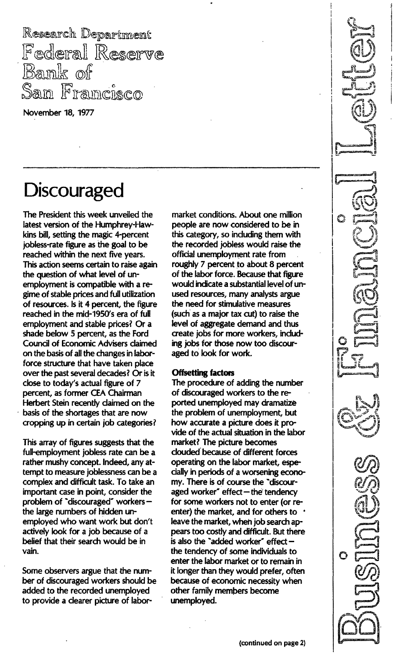Research Department Federal Reserve Bank of Francisco San

November 18, 1977

# **Discouraged**

The President this week unveiled the latest version of the Humphrey-Hawkins bill, setting the magic 4-percent jobless-rate figure as the goal to be reached within the next five years. This action seems certain to raise again the question of what level of unemployment is compatible with a regime of stable prices and full utilization of resources. Is it 4 percent, the figure reached in the mid-1950's era of full employment and stable prices? Or a shade below 5 percent, as the Ford Council of Economic Advisers claimed on the basis of all the changes in laborforce structure that have taken place over the past several decades? Or is it close to today's actual figure of 7 percent, as former CEA Chairman Herbert Stein recently claimed on the basis of the shortages that are now cropping up in certain job categories?

This array of figures suggests that the full-employment jobless rate can be a rather mushy concept. Indeed, any attempt to measure joblessness can be a complex and difficult task. To take an important case in point, consider the problem of "discouraged" workers $$ the large numbers of hidden unemployed who want work but don't actively look for a job because of a belief that their search would be in vain.

Some observers argue that the number of discouraged workers should be added to the recorded unemployed to provide a clearer picture of labor-

market conditions. About one million people are now considered to be in this category, so including them with the recorded jobless would raise the official unemployment rate from roughly 7 percent to about 8 percent of the labor force. Because that figure would indicate a substantial level of unused resources, many analysts argue the need for stimulative measures (such as a major tax cut) to raise the level of aggregate demand and thus create jobs for more workers, including jobs for those now too discouraged to look for work.

### **Offsetting factors**

The procedure of adding the number of discouraged workers to the reported unemployed may dramatize the problem of unemployment, but how accurate a picture does it provide of the actual situation in the labor market? The picture becomes clouded' because of different forces operating on the labor market, especially in periods of a worsening economy. There is of course the "discouraged worker" effect  $-$  the tendency for some workers not to enter (or reenter) the market, and for others to • leave the market, when job search appears too costly and difficult. But there is also the "added worker" effect  $$ the tendency of some individuals to enter the labor market or to remain in it longer than they would prefer, often because of economic necessity when other family members become unemployed.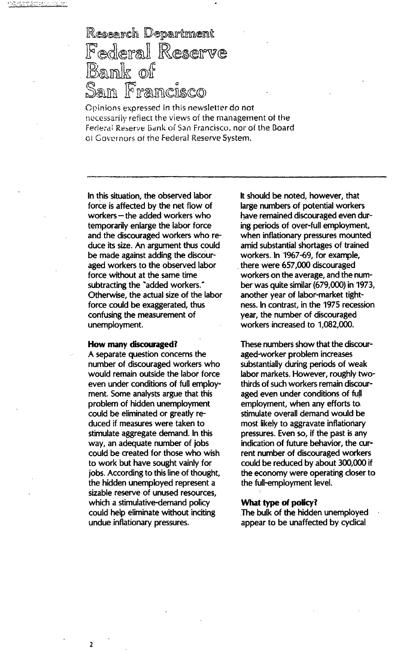## Research Department Federal Reserve **Bank** of <u>seem ee</u>

Opinions expressed in this newsletter do not necessarily reflect the views of the management of the Federal Reserve Bank of San Francisco, nor of the Board of Governors of the Federal Reserve System.

In this situation, the observed labor force is affected by the net flow of workers  $-$  the added workers who temporarily enlarge the labor force and the discouraged workers who reduce its size. An argument thus could be made against adding the discouraged workers to the observed labor force without at the same time subtracting the "added workers." Otherwise, the actual size of the labor force could be exaggerated, thus confusing the measurement of unemployment.

#### How many discouraged?

A separate question concerns the number of discouraged workers who would remain outside the labor force even under conditions of full employment. Some analysts argue that this problem of hidden unemployment could be eliminated or greatly reduced if measures were taken to stimulate aggregate demand. In this way, an adequate number of jobs could be created for those who wish to work but have sought vainly for jobs. According to this line of thought, the hidden unemployed represent a sizable reserve of unused resources, which a stimulative-demand policy could help eliminate without inciting undue. inflationary pressures.

It should be noted, however, that large numbers of potential workers have remained discouraged even during periods of over-full employment, when inflationary pressures mounted amid substantial shortages of trained workers. In 1967-69, for example, there were 657,000 discouraged workers on the average, and the number was quite similar (679,000) in 1973, another year of labor-market tightness. In contrast, in the 1975 recession year, the number of discouraged workers increased to 1,082,000.

These numbers show that the discouraged-worker problem increases substantially during periods of weak labor markets. However, roughly twothirds of such workers remain discouraged even under conditions of full employment, when any efforts to stimulate overall demand would be most likely to aggravate inflationary pressures. Even so, if the past is any indication of future behavior, the current number of discouraged workers could be reduced by about 300,000 if the economy were operating closer to the full-employment level.

#### What type of policy?

The bulk of the hidden unemployed appear to be unaffected by cyclical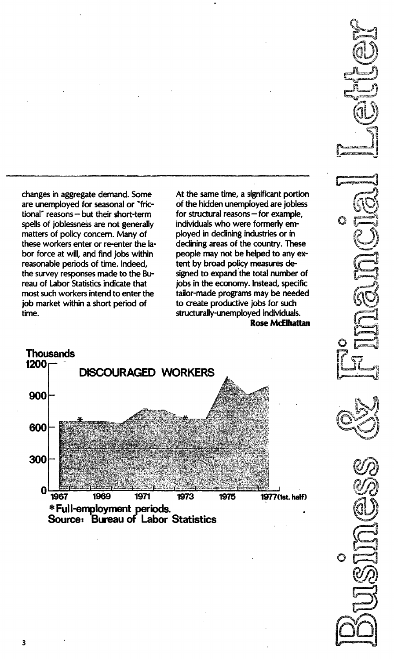changes in aggregate demand. Some are unemployed for seasonal or "frictional" reasons - but their short-term spells of joblessness are not generally matters of policy concern. Many of these workers enter or re-enter the labor force at will, and find jobs within reasonable periods of time. Indeed, the survey responses made to the Bureau of Labor Statistics indicate that most such workers intend to enter the job market within a short period of time.

At the same time, a significant portion of the hidden unemployed are jobless for structural reasons  $-$  for example, individuals who were formerly employed in declining industries or in declining areas of the country. These people may not be helped to any extent by broad policy measures designed to expand the total number of jobs in the economy. Instead, specific tailor-made programs may be needed to create productive jobs for such structurally-unemployed individuals. Rose McElhattan